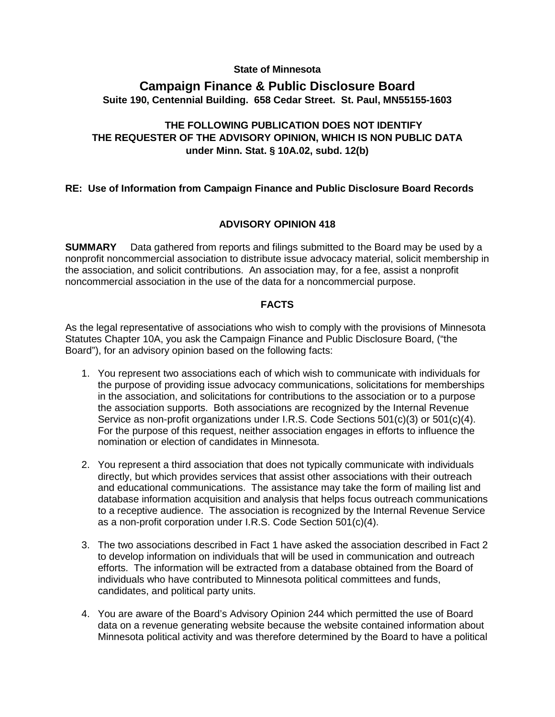### **State of Minnesota**

# **Campaign Finance & Public Disclosure Board Suite 190, Centennial Building. 658 Cedar Street. St. Paul, MN55155-1603**

## **THE FOLLOWING PUBLICATION DOES NOT IDENTIFY THE REQUESTER OF THE ADVISORY OPINION, WHICH IS NON PUBLIC DATA under Minn. Stat. § 10A.02, subd. 12(b)**

## **RE: Use of Information from Campaign Finance and Public Disclosure Board Records**

## **ADVISORY OPINION 418**

**SUMMARY** Data gathered from reports and filings submitted to the Board may be used by a nonprofit noncommercial association to distribute issue advocacy material, solicit membership in the association, and solicit contributions. An association may, for a fee, assist a nonprofit noncommercial association in the use of the data for a noncommercial purpose.

### **FACTS**

As the legal representative of associations who wish to comply with the provisions of Minnesota Statutes Chapter 10A, you ask the Campaign Finance and Public Disclosure Board, ("the Board"), for an advisory opinion based on the following facts:

- 1. You represent two associations each of which wish to communicate with individuals for the purpose of providing issue advocacy communications, solicitations for memberships in the association, and solicitations for contributions to the association or to a purpose the association supports. Both associations are recognized by the Internal Revenue Service as non-profit organizations under I.R.S. Code Sections 501(c)(3) or 501(c)(4). For the purpose of this request, neither association engages in efforts to influence the nomination or election of candidates in Minnesota.
- 2. You represent a third association that does not typically communicate with individuals directly, but which provides services that assist other associations with their outreach and educational communications. The assistance may take the form of mailing list and database information acquisition and analysis that helps focus outreach communications to a receptive audience. The association is recognized by the Internal Revenue Service as a non-profit corporation under I.R.S. Code Section 501(c)(4).
- 3. The two associations described in Fact 1 have asked the association described in Fact 2 to develop information on individuals that will be used in communication and outreach efforts. The information will be extracted from a database obtained from the Board of individuals who have contributed to Minnesota political committees and funds, candidates, and political party units.
- 4. You are aware of the Board's Advisory Opinion 244 which permitted the use of Board data on a revenue generating website because the website contained information about Minnesota political activity and was therefore determined by the Board to have a political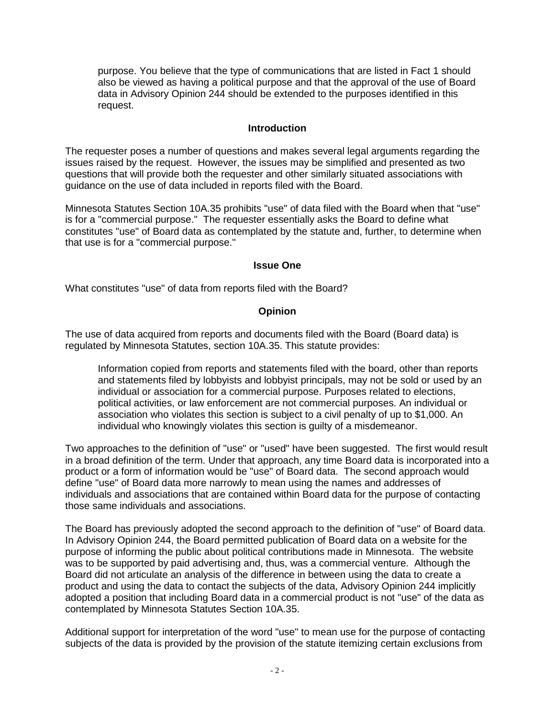purpose. You believe that the type of communications that are listed in Fact 1 should also be viewed as having a political purpose and that the approval of the use of Board data in Advisory Opinion 244 should be extended to the purposes identified in this request.

#### **Introduction**

The requester poses a number of questions and makes several legal arguments regarding the issues raised by the request. However, the issues may be simplified and presented as two questions that will provide both the requester and other similarly situated associations with guidance on the use of data included in reports filed with the Board.

Minnesota Statutes Section 10A.35 prohibits "use" of data filed with the Board when that "use" is for a "commercial purpose." The requester essentially asks the Board to define what constitutes "use" of Board data as contemplated by the statute and, further, to determine when that use is for a "commercial purpose."

#### **Issue One**

What constitutes "use" of data from reports filed with the Board?

#### **Opinion**

The use of data acquired from reports and documents filed with the Board (Board data) is regulated by Minnesota Statutes, section 10A.35. This statute provides:

Information copied from reports and statements filed with the board, other than reports and statements filed by lobbyists and lobbyist principals, may not be sold or used by an individual or association for a commercial purpose. Purposes related to elections, political activities, or law enforcement are not commercial purposes. An individual or association who violates this section is subject to a civil penalty of up to \$1,000. An individual who knowingly violates this section is guilty of a misdemeanor.

Two approaches to the definition of "use" or "used" have been suggested. The first would result in a broad definition of the term. Under that approach, any time Board data is incorporated into a product or a form of information would be "use" of Board data. The second approach would define "use" of Board data more narrowly to mean using the names and addresses of individuals and associations that are contained within Board data for the purpose of contacting those same individuals and associations.

The Board has previously adopted the second approach to the definition of "use" of Board data. In Advisory Opinion 244, the Board permitted publication of Board data on a website for the purpose of informing the public about political contributions made in Minnesota. The website was to be supported by paid advertising and, thus, was a commercial venture. Although the Board did not articulate an analysis of the difference in between using the data to create a product and using the data to contact the subjects of the data, Advisory Opinion 244 implicitly adopted a position that including Board data in a commercial product is not "use" of the data as contemplated by Minnesota Statutes Section 10A.35.

Additional support for interpretation of the word "use" to mean use for the purpose of contacting subjects of the data is provided by the provision of the statute itemizing certain exclusions from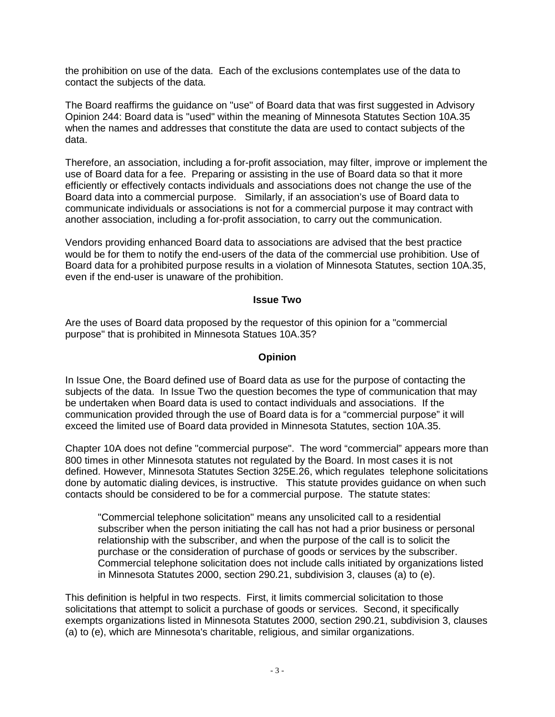the prohibition on use of the data. Each of the exclusions contemplates use of the data to contact the subjects of the data.

The Board reaffirms the guidance on "use" of Board data that was first suggested in Advisory Opinion 244: Board data is "used" within the meaning of Minnesota Statutes Section 10A.35 when the names and addresses that constitute the data are used to contact subjects of the data.

Therefore, an association, including a for-profit association, may filter, improve or implement the use of Board data for a fee. Preparing or assisting in the use of Board data so that it more efficiently or effectively contacts individuals and associations does not change the use of the Board data into a commercial purpose. Similarly, if an association's use of Board data to communicate individuals or associations is not for a commercial purpose it may contract with another association, including a for-profit association, to carry out the communication.

Vendors providing enhanced Board data to associations are advised that the best practice would be for them to notify the end-users of the data of the commercial use prohibition. Use of Board data for a prohibited purpose results in a violation of Minnesota Statutes, section 10A.35, even if the end-user is unaware of the prohibition.

#### **Issue Two**

Are the uses of Board data proposed by the requestor of this opinion for a "commercial purpose" that is prohibited in Minnesota Statues 10A.35?

#### **Opinion**

In Issue One, the Board defined use of Board data as use for the purpose of contacting the subjects of the data. In Issue Two the question becomes the type of communication that may be undertaken when Board data is used to contact individuals and associations. If the communication provided through the use of Board data is for a "commercial purpose" it will exceed the limited use of Board data provided in Minnesota Statutes, section 10A.35.

Chapter 10A does not define "commercial purpose". The word "commercial" appears more than 800 times in other Minnesota statutes not regulated by the Board. In most cases it is not defined. However, Minnesota Statutes Section 325E.26, which regulates telephone solicitations done by automatic dialing devices, is instructive. This statute provides guidance on when such contacts should be considered to be for a commercial purpose. The statute states:

"Commercial telephone solicitation" means any unsolicited call to a residential subscriber when the person initiating the call has not had a prior business or personal relationship with the subscriber, and when the purpose of the call is to solicit the purchase or the consideration of purchase of goods or services by the subscriber. Commercial telephone solicitation does not include calls initiated by organizations listed in Minnesota Statutes 2000, section 290.21, subdivision 3, clauses (a) to (e).

This definition is helpful in two respects. First, it limits commercial solicitation to those solicitations that attempt to solicit a purchase of goods or services. Second, it specifically exempts organizations listed in Minnesota Statutes 2000, section 290.21, subdivision 3, clauses (a) to (e), which are Minnesota's charitable, religious, and similar organizations.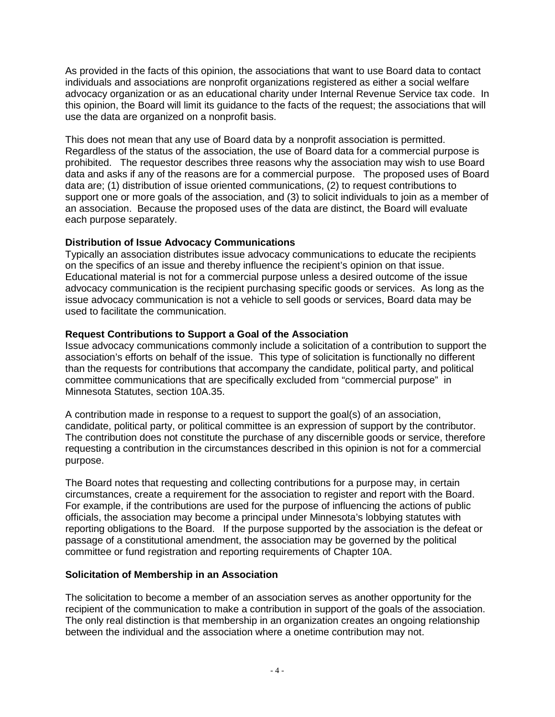As provided in the facts of this opinion, the associations that want to use Board data to contact individuals and associations are nonprofit organizations registered as either a social welfare advocacy organization or as an educational charity under Internal Revenue Service tax code. In this opinion, the Board will limit its guidance to the facts of the request; the associations that will use the data are organized on a nonprofit basis.

This does not mean that any use of Board data by a nonprofit association is permitted. Regardless of the status of the association, the use of Board data for a commercial purpose is prohibited. The requestor describes three reasons why the association may wish to use Board data and asks if any of the reasons are for a commercial purpose. The proposed uses of Board data are; (1) distribution of issue oriented communications, (2) to request contributions to support one or more goals of the association, and (3) to solicit individuals to join as a member of an association. Because the proposed uses of the data are distinct, the Board will evaluate each purpose separately.

## **Distribution of Issue Advocacy Communications**

Typically an association distributes issue advocacy communications to educate the recipients on the specifics of an issue and thereby influence the recipient's opinion on that issue. Educational material is not for a commercial purpose unless a desired outcome of the issue advocacy communication is the recipient purchasing specific goods or services. As long as the issue advocacy communication is not a vehicle to sell goods or services, Board data may be used to facilitate the communication.

## **Request Contributions to Support a Goal of the Association**

Issue advocacy communications commonly include a solicitation of a contribution to support the association's efforts on behalf of the issue. This type of solicitation is functionally no different than the requests for contributions that accompany the candidate, political party, and political committee communications that are specifically excluded from "commercial purpose" in Minnesota Statutes, section 10A.35.

A contribution made in response to a request to support the goal(s) of an association, candidate, political party, or political committee is an expression of support by the contributor. The contribution does not constitute the purchase of any discernible goods or service, therefore requesting a contribution in the circumstances described in this opinion is not for a commercial purpose.

The Board notes that requesting and collecting contributions for a purpose may, in certain circumstances, create a requirement for the association to register and report with the Board. For example, if the contributions are used for the purpose of influencing the actions of public officials, the association may become a principal under Minnesota's lobbying statutes with reporting obligations to the Board. If the purpose supported by the association is the defeat or passage of a constitutional amendment, the association may be governed by the political committee or fund registration and reporting requirements of Chapter 10A.

## **Solicitation of Membership in an Association**

The solicitation to become a member of an association serves as another opportunity for the recipient of the communication to make a contribution in support of the goals of the association. The only real distinction is that membership in an organization creates an ongoing relationship between the individual and the association where a onetime contribution may not.